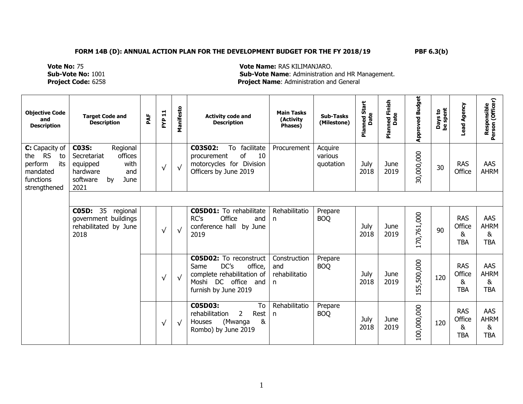**Vote No:** 75 **Vote Name:** RAS KILIMANJARO. **Sub-Vote No:** 1001 **Sub-Vote Name**: Administration and HR Management. **Project Code:** 6258 **Project Name**: Administration and General

| <b>Objective Code</b><br>and<br><b>Description</b>                                                  | <b>Target Code and</b><br><b>Description</b>                                                                                | PAF | <b>FYP 11</b> | Manifesto  | <b>Activity code and</b><br><b>Description</b>                                                                                        | <b>Main Tasks</b><br>(Activity<br>Phases) | <b>Sub-Tasks</b><br>(Milestone) | Start<br>Planned S<br>Date | Finish<br>ned Fi<br>Date<br>nan<br>P | <b>Approved Budget</b> | Days to<br>be spent | Lead Agency                             | Responsible<br>Person (Officer)       |
|-----------------------------------------------------------------------------------------------------|-----------------------------------------------------------------------------------------------------------------------------|-----|---------------|------------|---------------------------------------------------------------------------------------------------------------------------------------|-------------------------------------------|---------------------------------|----------------------------|--------------------------------------|------------------------|---------------------|-----------------------------------------|---------------------------------------|
| C: Capacity of<br><b>RS</b><br>the<br>to<br>perform<br>its<br>mandated<br>functions<br>strengthened | <b>C03S:</b><br>Regional<br>offices<br>Secretariat<br>with<br>equipped<br>hardware<br>and<br>software<br>by<br>June<br>2021 |     | $\sqrt{}$     | $\sqrt{ }$ | C03S02:<br>To facilitate<br>of<br>10<br>procurement<br>motorcycles for Division<br>Officers by June 2019                              | Procurement                               | Acquire<br>various<br>quotation | July<br>2018               | June<br>2019                         | 30,000,000             | 30                  | <b>RAS</b><br>Office                    | AAS<br><b>AHRM</b>                    |
|                                                                                                     |                                                                                                                             |     |               |            |                                                                                                                                       |                                           |                                 |                            |                                      |                        |                     |                                         |                                       |
|                                                                                                     | 35<br><b>C05D:</b><br>regional<br>government buildings<br>rehabilitated by June<br>2018                                     |     | $\sqrt{ }$    | $\sqrt{ }$ | <b>C05D01:</b> To rehabilitate<br>RC's<br>Office<br>and<br>conference hall by June<br>2019                                            | Rehabilitatio<br>n                        | Prepare<br><b>BOQ</b>           | July<br>2018               | June<br>2019                         | 170,761,000            | 90                  | <b>RAS</b><br>Office<br>8<br><b>TBA</b> | AAS<br><b>AHRM</b><br>&<br><b>TBA</b> |
|                                                                                                     |                                                                                                                             |     | $\sqrt{}$     | $\sqrt{ }$ | <b>C05D02:</b> To reconstruct<br>DC's<br>office,<br>Same<br>complete rehabilitation of<br>Moshi DC office and<br>furnish by June 2019 | Construction<br>and<br>rehabilitatio<br>n | Prepare<br><b>BOQ</b>           | July<br>2018               | June<br>2019                         | 155,500,000            | 120                 | <b>RAS</b><br>Office<br>&<br><b>TBA</b> | AAS<br><b>AHRM</b><br>&<br><b>TBA</b> |
|                                                                                                     |                                                                                                                             |     | $\sqrt{ }$    | $\sqrt{ }$ | C05D03:<br>To<br>rehabilitation<br>2<br>Rest<br>&<br>(Mwanga<br>Houses<br>Rombo) by June 2019                                         | Rehabilitatio<br>n                        | Prepare<br><b>BOQ</b>           | July<br>2018               | June<br>2019                         | 100,000,000            | 120                 | <b>RAS</b><br>Office<br>&<br><b>TBA</b> | AAS<br><b>AHRM</b><br>&<br><b>TBA</b> |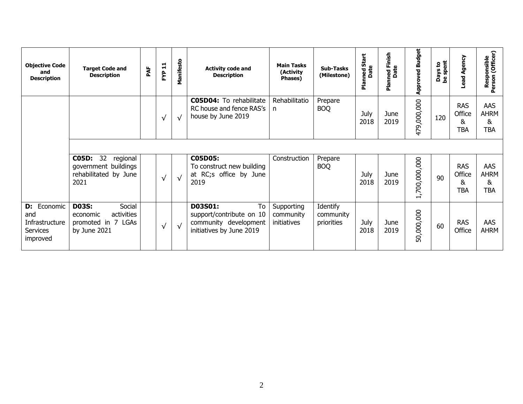| <b>Objective Code</b><br>and<br><b>Description</b>                  | <b>Target Code and</b><br><b>Description</b>                                           | PAF | <b>FYP 11</b> | Manifesto  | <b>Activity code and</b><br><b>Description</b>                                                 | <b>Main Tasks</b><br>(Activity<br>Phases) | <b>Sub-Tasks</b><br>(Milestone)     | Start<br>nned S<br>Date<br>aiq | med Finish<br>Date<br>nian<br>R | <b>Approved Budget</b> | ays to<br>spent<br>Days<br>be spr | Lead Agency                             | Responsible<br>Person (Officer)       |
|---------------------------------------------------------------------|----------------------------------------------------------------------------------------|-----|---------------|------------|------------------------------------------------------------------------------------------------|-------------------------------------------|-------------------------------------|--------------------------------|---------------------------------|------------------------|-----------------------------------|-----------------------------------------|---------------------------------------|
|                                                                     |                                                                                        |     | $\sqrt{}$     | ่√         | <b>C05D04:</b> To rehabilitate<br>RC house and fence RAS's<br>house by June 2019               | Rehabilitatio<br>n                        | Prepare<br><b>BOQ</b>               | July<br>2018                   | June<br>2019                    | 479,000,000            | 120                               | <b>RAS</b><br>Office<br>&<br><b>TBA</b> | AAS<br><b>AHRM</b><br>&<br><b>TBA</b> |
|                                                                     |                                                                                        |     |               |            |                                                                                                |                                           |                                     |                                |                                 |                        |                                   |                                         |                                       |
|                                                                     | C05D: 32 regional<br>government buildings<br>rehabilitated by June<br>2021             |     | $\sqrt{ }$    | √          | C05D05:<br>To construct new building<br>at RC;s office by June<br>2019                         | Construction                              | Prepare<br><b>BOQ</b>               | July<br>2018                   | June<br>2019                    | 1,700,000,000          | 90                                | <b>RAS</b><br>Office<br>&<br><b>TBA</b> | AAS<br><b>AHRM</b><br>&<br><b>TBA</b> |
| <b>D:</b> Economic<br>and<br>Infrastructure<br>Services<br>improved | <b>D03S:</b><br>Social<br>activities<br>economic<br>promoted in 7 LGAs<br>by June 2021 |     | $\sqrt{}$     | $\sqrt{ }$ | To<br>D03S01:<br>support/contribute on 10<br>community development<br>initiatives by June 2019 | Supporting<br>community<br>initiatives    | Identify<br>community<br>priorities | July<br>2018                   | June<br>2019                    | 50,000,000             | 60                                | <b>RAS</b><br>Office                    | AAS<br><b>AHRM</b>                    |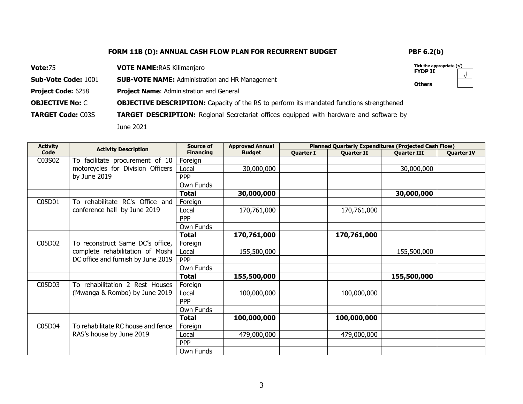√

| <b>Vote:75</b>             | <b>VOTE NAME: RAS Kilimanjaro</b>                                                               | Tick the appropriate $(\sqrt)$<br><b>FYDP II</b> |
|----------------------------|-------------------------------------------------------------------------------------------------|--------------------------------------------------|
| <b>Sub-Vote Code: 1001</b> | <b>SUB-VOTE NAME:</b> Administration and HR Management                                          | <b>Others</b>                                    |
| <b>Project Code: 6258</b>  | <b>Project Name: Administration and General</b>                                                 |                                                  |
| <b>OBJECTIVE No: C</b>     | <b>OBJECTIVE DESCRIPTION:</b> Capacity of the RS to perform its mandated functions strengthened |                                                  |
| <b>TARGET Code: C03S</b>   | <b>TARGET DESCRIPTION:</b> Regional Secretariat offices equipped with hardware and software by  |                                                  |
|                            | June 2021                                                                                       |                                                  |

| <b>Activity</b> | <b>Activity Description</b>        | Source of<br><b>Approved Annual</b><br><b>Planned Quarterly Expenditures (Projected Cash Flow)</b> |               |                  |                   |                    |                   |
|-----------------|------------------------------------|----------------------------------------------------------------------------------------------------|---------------|------------------|-------------------|--------------------|-------------------|
| Code            |                                    | <b>Financing</b>                                                                                   | <b>Budget</b> | <b>Quarter I</b> | <b>Quarter II</b> | <b>Ouarter III</b> | <b>Quarter IV</b> |
| C03S02          | To facilitate procurement of 10    | Foreign                                                                                            |               |                  |                   |                    |                   |
|                 | motorcycles for Division Officers  | Local                                                                                              | 30,000,000    |                  |                   | 30,000,000         |                   |
|                 | by June 2019                       | <b>PPP</b>                                                                                         |               |                  |                   |                    |                   |
|                 |                                    | Own Funds                                                                                          |               |                  |                   |                    |                   |
|                 |                                    | <b>Total</b>                                                                                       | 30,000,000    |                  |                   | 30,000,000         |                   |
| C05D01          | To rehabilitate RC's Office and    | Foreign                                                                                            |               |                  |                   |                    |                   |
|                 | conference hall by June 2019       | Local                                                                                              | 170,761,000   |                  | 170,761,000       |                    |                   |
|                 |                                    | <b>PPP</b>                                                                                         |               |                  |                   |                    |                   |
|                 |                                    | Own Funds                                                                                          |               |                  |                   |                    |                   |
|                 |                                    | <b>Total</b>                                                                                       | 170,761,000   |                  | 170,761,000       |                    |                   |
| C05D02          | To reconstruct Same DC's office,   | Foreign                                                                                            |               |                  |                   |                    |                   |
|                 | complete rehabilitation of Moshi   | Local                                                                                              | 155,500,000   |                  |                   | 155,500,000        |                   |
|                 | DC office and furnish by June 2019 | <b>PPP</b>                                                                                         |               |                  |                   |                    |                   |
|                 |                                    | Own Funds                                                                                          |               |                  |                   |                    |                   |
|                 |                                    | <b>Total</b>                                                                                       | 155,500,000   |                  |                   | 155,500,000        |                   |
| C05D03          | To rehabilitation 2 Rest Houses    | Foreign                                                                                            |               |                  |                   |                    |                   |
|                 | (Mwanga & Rombo) by June 2019      | Local                                                                                              | 100,000,000   |                  | 100,000,000       |                    |                   |
|                 |                                    | <b>PPP</b>                                                                                         |               |                  |                   |                    |                   |
|                 |                                    | Own Funds                                                                                          |               |                  |                   |                    |                   |
|                 |                                    | <b>Total</b>                                                                                       | 100,000,000   |                  | 100,000,000       |                    |                   |
| C05D04          | To rehabilitate RC house and fence | Foreign                                                                                            |               |                  |                   |                    |                   |
|                 | RAS's house by June 2019           | Local                                                                                              | 479,000,000   |                  | 479,000,000       |                    |                   |
|                 |                                    | <b>PPP</b>                                                                                         |               |                  |                   |                    |                   |
|                 |                                    | Own Funds                                                                                          |               |                  |                   |                    |                   |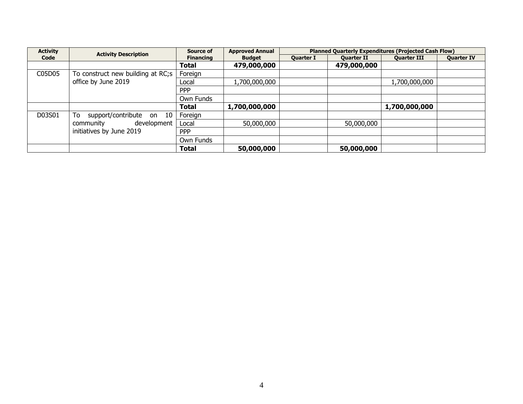| <b>Activity</b> | <b>Activity Description</b>       | Source of              | <b>Approved Annual</b> |                  |                   | <b>Planned Quarterly Expenditures (Projected Cash Flow)</b> |                   |  |  |  |
|-----------------|-----------------------------------|------------------------|------------------------|------------------|-------------------|-------------------------------------------------------------|-------------------|--|--|--|
| Code            |                                   | <b>Financing</b>       | <b>Budget</b>          | <b>Ouarter I</b> | <b>Ouarter II</b> | <b>Ouarter III</b>                                          | <b>Ouarter IV</b> |  |  |  |
|                 |                                   | Total                  | 479,000,000            |                  | 479,000,000       |                                                             |                   |  |  |  |
| C05D05          | To construct new building at RC;s | Foreign                |                        |                  |                   |                                                             |                   |  |  |  |
|                 | office by June 2019               | 1,700,000,000<br>Local |                        | 1,700,000,000    |                   |                                                             |                   |  |  |  |
|                 |                                   | <b>PPP</b>             |                        |                  |                   |                                                             |                   |  |  |  |
|                 |                                   | Own Funds              |                        |                  |                   |                                                             |                   |  |  |  |
|                 |                                   | <b>Total</b>           | 1,700,000,000          |                  |                   | 1,700,000,000                                               |                   |  |  |  |
| D03S01          | support/contribute<br>To<br>on 10 | Foreign                |                        |                  |                   |                                                             |                   |  |  |  |
|                 | development<br>community          | Local                  | 50,000,000             |                  | 50,000,000        |                                                             |                   |  |  |  |
|                 | initiatives by June 2019          | <b>PPP</b>             |                        |                  |                   |                                                             |                   |  |  |  |
|                 |                                   | Own Funds              |                        |                  |                   |                                                             |                   |  |  |  |
|                 |                                   | Total                  | 50,000,000             |                  | 50,000,000        |                                                             |                   |  |  |  |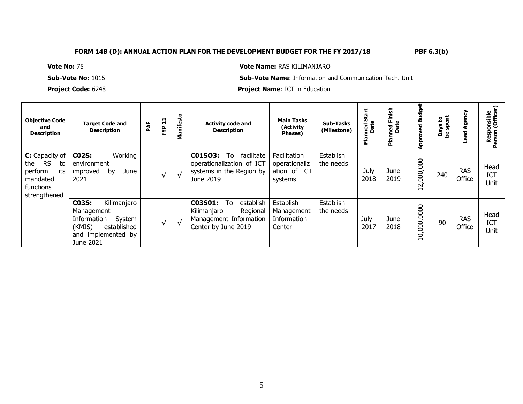**Vote No:** 75 **Vote Name:** RAS KILIMANJARO

**Sub-Vote No:** 1015 **Sub-Vote Name**: Information and Communication Tech. Unit

**Project Code:** 6248 **Project Name**: ICT in Education

| <b>Objective Code</b><br>and<br><b>Description</b>                                                  | <b>Target Code and</b><br><b>Description</b>                                                                                      | PAF | $\mathbf{1}$<br>FΥP | anifesto<br>Σ | <b>Activity code and</b><br><b>Description</b>                                                         | <b>Main Tasks</b><br>(Activity<br>Phases)                | Sub-Tasks<br>(Milestone) | ΰñ<br>ned S<br>Date<br>Pla | inish<br>щ.<br>Date<br>ᄝ<br><b>r</b> | <b>Budget</b><br>appr<br>P | ត្ត<br><u>م</u><br><b>Days</b><br>흢<br>ەم<br>م | Agency<br>bead       | Responsible<br>erson (Officer |
|-----------------------------------------------------------------------------------------------------|-----------------------------------------------------------------------------------------------------------------------------------|-----|---------------------|---------------|--------------------------------------------------------------------------------------------------------|----------------------------------------------------------|--------------------------|----------------------------|--------------------------------------|----------------------------|------------------------------------------------|----------------------|-------------------------------|
| C: Capacity of<br><b>RS</b><br>the<br>to<br>perform<br>its<br>mandated<br>functions<br>strengthened | <b>C02S:</b><br>Working<br>environment<br>June<br>improved<br>by<br>2021                                                          |     |                     | $\sqrt{ }$    | C01SO3:<br>To<br>facilitate<br>operationalization of ICT<br>systems in the Region by<br>June 2019      | Facilitation<br>operationaliz<br>ation of ICT<br>systems | Establish<br>the needs   | July<br>2018               | June<br>2019                         | 12,000,000                 | 240                                            | <b>RAS</b><br>Office | Head<br>ICT<br>Unit           |
|                                                                                                     | <b>C03S:</b><br>Kilimanjaro<br>Management<br>Information<br>System<br>(KMIS)<br>established<br>implemented by<br>and<br>June 2021 |     |                     | $\sqrt{ }$    | C03S01:<br>establish<br>To<br>Regional<br>Kilimaniaro<br>Management Information<br>Center by June 2019 | Establish<br>Management<br>Information<br>Center         | Establish<br>the needs   | July<br>2017               | June<br>2018                         | 10,000,0000                | 90                                             | <b>RAS</b><br>Office | Head<br>ICT<br>Unit           |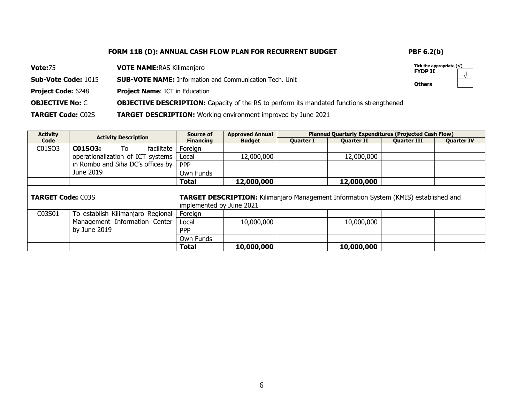| <b>Vote: 75</b>            | <b>VOTE NAME: RAS Kilimanjaro</b>                                                               | Tick the appropriate $(\sqrt{})$<br><b>FYDP II</b> | $\sqrt{ }$ |
|----------------------------|-------------------------------------------------------------------------------------------------|----------------------------------------------------|------------|
| <b>Sub-Vote Code: 1015</b> | <b>SUB-VOTE NAME:</b> Information and Communication Tech. Unit                                  | <b>Others</b>                                      |            |
| <b>Project Code: 6248</b>  | <b>Project Name: ICT in Education</b>                                                           |                                                    |            |
| <b>OBJECTIVE No: C</b>     | <b>OBJECTIVE DESCRIPTION:</b> Capacity of the RS to perform its mandated functions strengthened |                                                    |            |
| <b>TARGET Code: C02S</b>   | <b>TARGET DESCRIPTION:</b> Working environment improved by June 2021                            |                                                    |            |

| <b>Activity</b>          | <b>Activity Description</b>       | Source of                | <b>Approved Annual</b>                                                                      |                  | <b>Planned Quarterly Expenditures (Projected Cash Flow)</b> |                    |                   |
|--------------------------|-----------------------------------|--------------------------|---------------------------------------------------------------------------------------------|------------------|-------------------------------------------------------------|--------------------|-------------------|
| Code                     |                                   | <b>Financing</b>         | <b>Budget</b>                                                                               | <b>Quarter I</b> | <b>Quarter II</b>                                           | <b>Quarter III</b> | <b>Quarter IV</b> |
| C01SO3                   | C01SO3:<br>facilitate<br>To:      | Foreign                  |                                                                                             |                  |                                                             |                    |                   |
|                          | operationalization of ICT systems | Local                    | 12,000,000                                                                                  |                  | 12,000,000                                                  |                    |                   |
|                          | in Rombo and Siha DC's offices by | <b>PPP</b>               |                                                                                             |                  |                                                             |                    |                   |
|                          | June 2019                         | Own Funds                |                                                                                             |                  |                                                             |                    |                   |
|                          |                                   | <b>Total</b>             | 12,000,000                                                                                  |                  | 12,000,000                                                  |                    |                   |
| <b>TARGET Code: C03S</b> |                                   | implemented by June 2021 | <b>TARGET DESCRIPTION:</b> Kilimanjaro Management Information System (KMIS) established and |                  |                                                             |                    |                   |
| C03S01                   | To establish Kilimanjaro Regional | Foreign                  |                                                                                             |                  |                                                             |                    |                   |
|                          | Management Information Center     | Local                    | 10,000,000                                                                                  |                  | 10,000,000                                                  |                    |                   |
|                          | by June 2019                      | <b>PPP</b>               |                                                                                             |                  |                                                             |                    |                   |
|                          |                                   | Own Funds                |                                                                                             |                  |                                                             |                    |                   |
|                          |                                   | <b>Total</b>             | 10,000,000                                                                                  |                  | 10,000,000                                                  |                    |                   |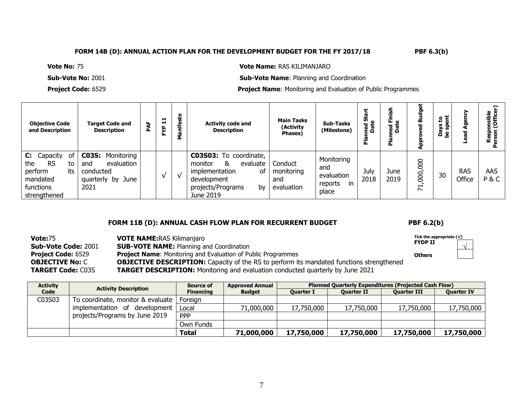**Vote No:** 75 **Vote Name:** RAS KILIMANJARO

**Sub-Vote No:** 2001 **Sub-Vote Name**: Planning and Coordination

**Project Code:** 6529 **Project Name**: Monitoring and Evaluation of Public Programmes

| <b>Objective Code</b><br>and Description                                                                       | <b>Target Code and</b><br><b>Description</b>                                              | ă | H<br>$\blacksquare$<br>FΥP | Manifesto | <b>Activity code and</b><br><b>Description</b>                                                                                    | <b>Main Tasks</b><br>(Activity<br>Phases)  | <b>Sub-Tasks</b><br>(Milestone)                            | Ù).<br>pate<br>Date<br>௳ | Ē<br>ட ல<br>a<br>Dat<br>C. | ö<br>공<br>≃<br>ъ<br>ddy                           | ន ដូ<br>⊻ื้ ซั<br><u>កី ខ្ញុំ</u> |                      | ⌒<br>≗<br><b>MSIDI</b><br>(Offic<br>௨<br>๔ |
|----------------------------------------------------------------------------------------------------------------|-------------------------------------------------------------------------------------------|---|----------------------------|-----------|-----------------------------------------------------------------------------------------------------------------------------------|--------------------------------------------|------------------------------------------------------------|--------------------------|----------------------------|---------------------------------------------------|-----------------------------------|----------------------|--------------------------------------------|
| <b>C:</b> Capacity<br>.of<br><b>RS</b><br>the<br>to<br>its<br>perform<br>mandated<br>functions<br>strengthened | <b>C03S: Monitoring</b><br>evaluation<br>and<br>conducted<br>June<br>quarterly by<br>2021 |   |                            | √         | C03S03: To coordinate,<br>&<br>evaluate<br>monitor<br>implementation<br>οf<br>development<br>projects/Programs<br>b٧<br>June 2019 | Conduct<br>monitoring<br>and<br>evaluation | Monitoring<br>and<br>evaluation<br>reports<br>in.<br>place | July<br>2018             | June<br>2019               | 800<br>$\overline{5}$<br>$\overline{\mathcal{L}}$ | 30                                | <b>RAS</b><br>Office | AAS<br>P&C                                 |

### **FORM 11B (D): ANNUAL CASH FLOW PLAN FOR RECURRENT BUDGET PBF 6.2(b)**

√

**Vote:**75 **Sub-Vote Code:** 2001 **Project Code:** 6529 **OBJECTIVE No:** C **TARGET Code:** C03S **VOTE NAME:**RAS Kilimanjaro **SUB-VOTE NAME: Planning and Coordination Project Name**: Monitoring and Evaluation of Public Programmes **OBJECTIVE DESCRIPTION:** Capacity of the RS to perform its mandated functions strengthened **TARGET DESCRIPTION:** Monitoring and evaluation conducted quarterly by June 2021 **Tick the appropriate (√) FYDP II Others**

| <b>Activity</b> | <b>Activity Description</b>       | Source of        | <b>Approved Annual</b> | <b>Planned Quarterly Expenditures (Projected Cash Flow)</b> |                   |                    |                   |  |  |  |
|-----------------|-----------------------------------|------------------|------------------------|-------------------------------------------------------------|-------------------|--------------------|-------------------|--|--|--|
| Code            |                                   | <b>Financing</b> | <b>Budget</b>          | <b>Ouarter I</b>                                            | <b>Ouarter II</b> | <b>Ouarter III</b> | <b>Ouarter IV</b> |  |  |  |
| C03S03          | To coordinate, monitor & evaluate | Foreign          |                        |                                                             |                   |                    |                   |  |  |  |
|                 | implementation of development     | Local            | 71,000,000             | 17,750,000                                                  | 17,750,000        | 17,750,000         | 17,750,000        |  |  |  |
|                 | projects/Programs by June 2019    | <b>PPP</b>       |                        |                                                             |                   |                    |                   |  |  |  |
|                 |                                   | Own Funds        |                        |                                                             |                   |                    |                   |  |  |  |
|                 |                                   | <b>Total</b>     | 71,000,000             | 17,750,000                                                  | 17,750,000        | 17,750,000         | 17,750,000        |  |  |  |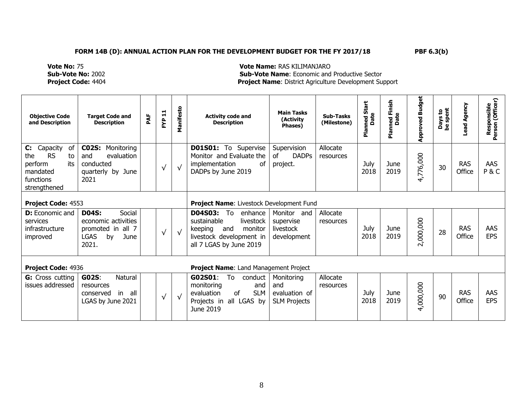**Vote No:** 75 **Vote Name:** RAS KILIMANJARO **Sub-Vote No:** 2002 **Sub-Vote Name**: Economic and Productive Sector **Project Name: District Agriculture Development Support** 

| <b>Objective Code</b><br>and Description                                                                              | <b>Target Code and</b><br><b>Description</b>                                                             | PAF | $\overline{a}$<br>۴Ŷ | Manifesto  | <b>Activity code and</b><br><b>Description</b>                                                                                                  | <b>Main Tasks</b><br>(Activity<br>Phases)                 | <b>Sub-Tasks</b><br>(Milestone) | Start<br>Planned S<br>Date | <b>Planned Finish</b><br>Date | <b>Approved Budget</b> | Days to<br>be spent | Lead Agency          | Responsible<br>Person (Officer) |
|-----------------------------------------------------------------------------------------------------------------------|----------------------------------------------------------------------------------------------------------|-----|----------------------|------------|-------------------------------------------------------------------------------------------------------------------------------------------------|-----------------------------------------------------------|---------------------------------|----------------------------|-------------------------------|------------------------|---------------------|----------------------|---------------------------------|
| $\mathbf{C}$ :<br>Capacity<br>of<br><b>RS</b><br>the<br>to<br>its<br>perform<br>mandated<br>functions<br>strengthened | <b>CO2S:</b><br>Monitoring<br>evaluation<br>and<br>conducted<br>quarterly by June<br>2021                |     | $\sqrt{ }$           | $\sqrt{}$  | D01S01: To Supervise<br>Monitor and Evaluate the<br>implementation<br>of<br>DADPs by June 2019                                                  | Supervision<br><b>DADPs</b><br>of<br>project.             | Allocate<br>resources           | July<br>2018               | June<br>2019                  | 4,776,000              | 30                  | <b>RAS</b><br>Office | AAS<br>P&C                      |
| Project Code: 4553                                                                                                    |                                                                                                          |     |                      |            | Project Name: Livestock Development Fund                                                                                                        |                                                           |                                 |                            |                               |                        |                     |                      |                                 |
| <b>D:</b> Economic and<br>services<br>infrastructure<br>improved                                                      | <b>D04S:</b><br>Social<br>economic activities<br>promoted in all 7<br><b>LGAS</b><br>by<br>June<br>2021. |     | $\sqrt{ }$           | $\sqrt{ }$ | <b>D04S03:</b><br>To<br>enhance<br>sustainable<br>livestock<br>and<br>monitor<br>keeping<br>livestock development in<br>all 7 LGAS by June 2019 | Monitor and<br>supervise<br>livestock<br>development      | Allocate<br>resources           | July<br>2018               | June<br>2019                  | 2,000,000              | 28                  | <b>RAS</b><br>Office | AAS<br><b>EPS</b>               |
| Project Code: 4936                                                                                                    |                                                                                                          |     |                      |            | Project Name: Land Management Project                                                                                                           |                                                           |                                 |                            |                               |                        |                     |                      |                                 |
| <b>G:</b> Cross cutting<br>issues addressed                                                                           | G02S:<br><b>Natural</b><br>resources<br>in<br>all<br>conserved<br>LGAS by June 2021                      |     | $\sqrt{ }$           | $\sqrt{}$  | G02S01:<br>To<br>conduct<br>monitoring<br>and<br><b>SLM</b><br>evaluation<br>0f<br>all LGAS by<br>Projects in<br>June 2019                      | Monitoring<br>and<br>evaluation of<br><b>SLM Projects</b> | Allocate<br>resources           | July<br>2018               | June<br>2019                  | 4,000,000              | 90                  | <b>RAS</b><br>Office | AAS<br><b>EPS</b>               |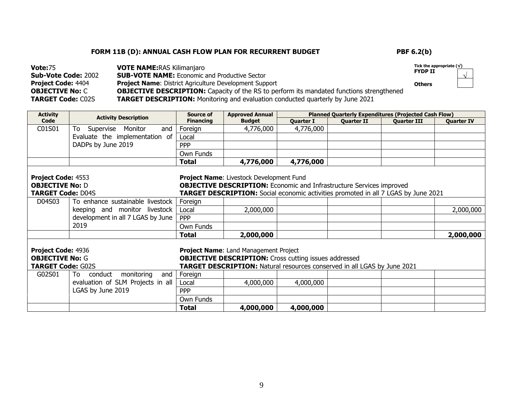**Tick the appropriate (√) FYDP II**  √

| <b>Vote: 75</b>            | <b>VOTE NAME: RAS Kilimanjaro</b>                                                               | Tick the a    |
|----------------------------|-------------------------------------------------------------------------------------------------|---------------|
| <b>Sub-Vote Code: 2002</b> | <b>SUB-VOTE NAME:</b> Economic and Productive Sector                                            | <b>FYDP I</b> |
| <b>Project Code: 4404</b>  | <b>Project Name:</b> District Agriculture Development Support                                   | <b>Others</b> |
| <b>OBJECTIVE No:</b> C     | <b>OBJECTIVE DESCRIPTION:</b> Capacity of the RS to perform its mandated functions strengthened |               |
| <b>TARGET Code: C02S</b>   | <b>TARGET DESCRIPTION:</b> Monitoring and evaluation conducted quarterly by June 2021           |               |

| <b>Activity</b>                                                                                                                                                                    | <b>Activity Description</b>       | Source of                                   | <b>Approved Annual</b>                                                                                                                                                                                               |                  | <b>Planned Quarterly Expenditures (Projected Cash Flow)</b> |                    |                   |  |  |  |
|------------------------------------------------------------------------------------------------------------------------------------------------------------------------------------|-----------------------------------|---------------------------------------------|----------------------------------------------------------------------------------------------------------------------------------------------------------------------------------------------------------------------|------------------|-------------------------------------------------------------|--------------------|-------------------|--|--|--|
| Code                                                                                                                                                                               |                                   | <b>Financing</b>                            | <b>Budget</b>                                                                                                                                                                                                        | <b>Quarter I</b> | <b>Quarter II</b>                                           | <b>Quarter III</b> | <b>Quarter IV</b> |  |  |  |
| C01S01                                                                                                                                                                             | Supervise Monitor<br>To<br>and    | Foreign                                     | 4,776,000                                                                                                                                                                                                            | 4,776,000        |                                                             |                    |                   |  |  |  |
|                                                                                                                                                                                    | Evaluate the implementation of    | Local                                       |                                                                                                                                                                                                                      |                  |                                                             |                    |                   |  |  |  |
|                                                                                                                                                                                    | DADPs by June 2019                | <b>PPP</b>                                  |                                                                                                                                                                                                                      |                  |                                                             |                    |                   |  |  |  |
|                                                                                                                                                                                    |                                   | Own Funds                                   |                                                                                                                                                                                                                      |                  |                                                             |                    |                   |  |  |  |
|                                                                                                                                                                                    |                                   | <b>Total</b>                                | 4,776,000                                                                                                                                                                                                            | 4,776,000        |                                                             |                    |                   |  |  |  |
| Project Code: 4553<br><b>OBJECTIVE No: D</b><br><b>TARGET Code: D04S</b>                                                                                                           |                                   |                                             | <b>Project Name: Livestock Development Fund</b><br><b>OBJECTIVE DESCRIPTION:</b> Economic and Infrastructure Services improved<br>TARGET DESCRIPTION: Social economic activities promoted in all 7 LGAS by June 2021 |                  |                                                             |                    |                   |  |  |  |
| D04S03                                                                                                                                                                             | To enhance sustainable livestock  | Foreign                                     |                                                                                                                                                                                                                      |                  |                                                             |                    |                   |  |  |  |
|                                                                                                                                                                                    | keeping and monitor livestock     | Local                                       | 2,000,000                                                                                                                                                                                                            |                  |                                                             |                    | 2,000,000         |  |  |  |
|                                                                                                                                                                                    | development in all 7 LGAS by June | <b>PPP</b>                                  |                                                                                                                                                                                                                      |                  |                                                             |                    |                   |  |  |  |
|                                                                                                                                                                                    | 2019                              | Own Funds                                   |                                                                                                                                                                                                                      |                  |                                                             |                    |                   |  |  |  |
|                                                                                                                                                                                    |                                   | <b>Total</b>                                | 2,000,000                                                                                                                                                                                                            |                  |                                                             |                    | 2,000,000         |  |  |  |
| Project Code: 4936<br><b>OBJECTIVE No: G</b><br><b>TARGET Code: G02S</b><br>G02S01<br>conduct<br>monitoring<br>and<br>To<br>evaluation of SLM Projects in all<br>LGAS by June 2019 |                                   | Foreign<br>Local<br><b>PPP</b><br>Own Funds | Project Name: Land Management Project<br><b>OBJECTIVE DESCRIPTION:</b> Cross cutting issues addressed<br><b>TARGET DESCRIPTION:</b> Natural resources conserved in all LGAS by June 2021<br>4,000,000                | 4,000,000        |                                                             |                    |                   |  |  |  |
|                                                                                                                                                                                    |                                   | <b>Total</b>                                | 4,000,000                                                                                                                                                                                                            | 4,000,000        |                                                             |                    |                   |  |  |  |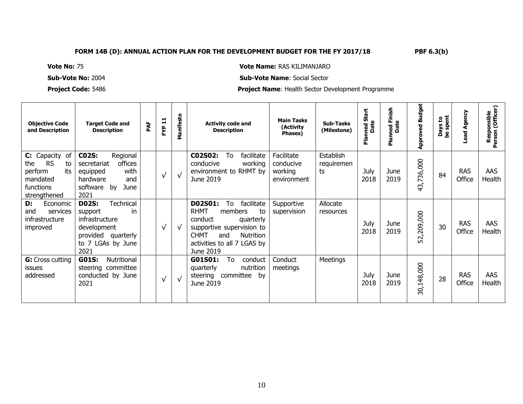# **Vote No:** 75 **Vote Name:** RAS KILIMANJARO

# **Sub-Vote No:** 2004 **Sub-Vote Name**: Social Sector

**Project Code:** 5486 **Project Name**: Health Sector Development Programme

| <b>Objective Code</b><br>and Description                                                            | <b>Target Code and</b><br><b>Description</b>                                                                                          | PAF | $\blacksquare$<br>$\blacksquare$<br>FΥP | anifesto<br>Σ | <b>Activity code and</b><br><b>Description</b>                                                                                                                                                         | <b>Main Tasks</b><br>(Activity<br>Phases)         | <b>Sub-Tasks</b><br>(Milestone) | Ü)<br>ned S<br>Date<br>흢 | ned Finish<br>Date<br>nian<br>P | <b>Approved Budget</b>      | lys to<br>spent<br>Days<br>be spe | Agency<br><b>Lead</b> | Responsible<br>erson (Officer)<br>Person |
|-----------------------------------------------------------------------------------------------------|---------------------------------------------------------------------------------------------------------------------------------------|-----|-----------------------------------------|---------------|--------------------------------------------------------------------------------------------------------------------------------------------------------------------------------------------------------|---------------------------------------------------|---------------------------------|--------------------------|---------------------------------|-----------------------------|-----------------------------------|-----------------------|------------------------------------------|
| C: Capacity of<br><b>RS</b><br>the<br>to<br>perform<br>its<br>mandated<br>functions<br>strengthened | <b>C02S:</b><br>Regional<br>offices<br>secretariat<br>with<br>equipped<br>hardware<br>and<br>software by<br>June<br>2021              |     | √                                       | $\sqrt{ }$    | C02S02:<br>To<br>facilitate<br>conducive<br>working<br>environment to RHMT by<br>June 2019                                                                                                             | Facilitate<br>conducive<br>working<br>environment | Establish<br>requiremen<br>ts   | July<br>2018             | June<br>2019                    | '36,000<br>N<br>$\sim$<br>ᡆ | 84                                | <b>RAS</b><br>Office  | <b>AAS</b><br>Health                     |
| D:<br>Economic<br>services<br>and<br>infrastructure<br>improved                                     | <b>D02S:</b><br><b>Technical</b><br>in<br>support<br>infrastructure<br>development<br>provided quarterly<br>to 7 LGAs by June<br>2021 |     | √                                       | √             | <b>D02S01:</b><br>To<br>facilitate<br><b>RHMT</b><br>members<br>to<br>conduct<br>quarterly<br>supportive supervision to<br><b>CHMT</b><br>Nutrition<br>and<br>activities to all 7 LGAS by<br>June 2019 | Supportive<br>supervision                         | Allocate<br>resources           | July<br>2018             | June<br>2019                    | 209,000<br>52,              | 30                                | <b>RAS</b><br>Office  | <b>AAS</b><br>Health                     |
| <b>G:</b> Cross cutting<br>issues<br>addressed                                                      | Nutritional<br><b>G01S:</b><br>steering committee<br>conducted by June<br>2021                                                        |     | $\sqrt{ }$                              | $\sqrt{ }$    | To<br>G01S01:<br>conduct<br>nutrition<br>quarterly<br>committee<br>bv<br>steering<br>June 2019                                                                                                         | Conduct<br>meetings                               | <b>Meetings</b>                 | July<br>2018             | June<br>2019                    | 30,148,000                  | 28                                | <b>RAS</b><br>Office  | AAS<br>Health                            |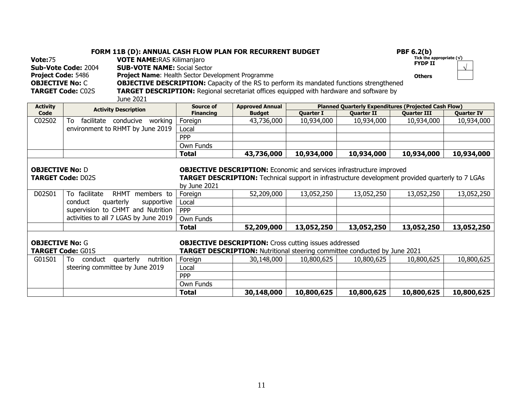| <b>Vote:75</b><br>Project Code: 5486<br><b>OBJECTIVE No: C</b> | <b>FORM 11B (D): ANNUAL CASH FLOW PLAN FOR RECURRENT BUDGET</b><br><b>VOTE NAME: RAS Kilimanjaro</b><br><b>SUB-VOTE NAME: Social Sector</b><br>Sub-Vote Code: 2004<br><b>Project Name: Health Sector Development Programme</b><br><b>OBJECTIVE DESCRIPTION:</b> Capacity of the RS to perform its mandated functions strengthened<br><b>TARGET DESCRIPTION:</b> Regional secretariat offices equipped with hardware and software by<br><b>TARGET Code: C02S</b><br>June 2021 |                  |                                                                                                                                                                                 |                  |                   | <b>PBF 6.2(b)</b><br>Tick the appropriate $(\sqrt{})$<br><b>FYDP II</b><br><b>Others</b> | $\sqrt{ }$        |  |  |
|----------------------------------------------------------------|------------------------------------------------------------------------------------------------------------------------------------------------------------------------------------------------------------------------------------------------------------------------------------------------------------------------------------------------------------------------------------------------------------------------------------------------------------------------------|------------------|---------------------------------------------------------------------------------------------------------------------------------------------------------------------------------|------------------|-------------------|------------------------------------------------------------------------------------------|-------------------|--|--|
| <b>Activity</b>                                                | <b>Activity Description</b>                                                                                                                                                                                                                                                                                                                                                                                                                                                  | <b>Source of</b> | <b>Approved Annual</b>                                                                                                                                                          |                  |                   | <b>Planned Quarterly Expenditures (Projected Cash Flow)</b>                              |                   |  |  |
| Code                                                           |                                                                                                                                                                                                                                                                                                                                                                                                                                                                              | <b>Financing</b> | <b>Budget</b>                                                                                                                                                                   | <b>Quarter I</b> | <b>Quarter II</b> | <b>Quarter III</b>                                                                       | <b>Quarter IV</b> |  |  |
| C02S02                                                         | facilitate conducive working<br>To                                                                                                                                                                                                                                                                                                                                                                                                                                           | Foreign          | 43,736,000                                                                                                                                                                      | 10,934,000       | 10,934,000        | 10,934,000                                                                               | 10,934,000        |  |  |
|                                                                | environment to RHMT by June 2019                                                                                                                                                                                                                                                                                                                                                                                                                                             | Local            |                                                                                                                                                                                 |                  |                   |                                                                                          |                   |  |  |
|                                                                |                                                                                                                                                                                                                                                                                                                                                                                                                                                                              | PPP              |                                                                                                                                                                                 |                  |                   |                                                                                          |                   |  |  |
|                                                                |                                                                                                                                                                                                                                                                                                                                                                                                                                                                              | Own Funds        |                                                                                                                                                                                 |                  |                   |                                                                                          |                   |  |  |
|                                                                |                                                                                                                                                                                                                                                                                                                                                                                                                                                                              | <b>Total</b>     | 43,736,000                                                                                                                                                                      | 10,934,000       | 10,934,000        | 10,934,000                                                                               | 10,934,000        |  |  |
| <b>OBJECTIVE No: D</b>                                         | <b>TARGET Code: D02S</b>                                                                                                                                                                                                                                                                                                                                                                                                                                                     | by June 2021     | <b>OBJECTIVE DESCRIPTION:</b> Economic and services infrastructure improved<br>TARGET DESCRIPTION: Technical support in infrastructure development provided quarterly to 7 LGAs |                  |                   |                                                                                          |                   |  |  |
| D02S01                                                         | To facilitate<br>RHMT members to                                                                                                                                                                                                                                                                                                                                                                                                                                             | Foreign          | 52,209,000                                                                                                                                                                      | 13,052,250       | 13,052,250        | 13,052,250                                                                               | 13,052,250        |  |  |
|                                                                | conduct<br>quarterly<br>supportive                                                                                                                                                                                                                                                                                                                                                                                                                                           | Local            |                                                                                                                                                                                 |                  |                   |                                                                                          |                   |  |  |
|                                                                | supervision to CHMT and Nutrition                                                                                                                                                                                                                                                                                                                                                                                                                                            | <b>PPP</b>       |                                                                                                                                                                                 |                  |                   |                                                                                          |                   |  |  |
|                                                                | activities to all 7 LGAS by June 2019                                                                                                                                                                                                                                                                                                                                                                                                                                        | Own Funds        |                                                                                                                                                                                 |                  |                   |                                                                                          |                   |  |  |
|                                                                |                                                                                                                                                                                                                                                                                                                                                                                                                                                                              | <b>Total</b>     | 52,209,000                                                                                                                                                                      | 13,052,250       | 13,052,250        | 13,052,250                                                                               | 13,052,250        |  |  |
| <b>OBJECTIVE No: G</b>                                         | <b>TARGET Code: G01S</b>                                                                                                                                                                                                                                                                                                                                                                                                                                                     |                  | <b>OBJECTIVE DESCRIPTION:</b> Cross cutting issues addressed<br><b>TARGET DESCRIPTION:</b> Nutritional steering committee conducted by June 2021                                |                  |                   |                                                                                          |                   |  |  |
| G01S01                                                         | quarterly<br>nutrition<br>To<br>conduct                                                                                                                                                                                                                                                                                                                                                                                                                                      | Foreign          | 30,148,000                                                                                                                                                                      | 10,800,625       | 10,800,625        | 10,800,625                                                                               | 10,800,625        |  |  |
|                                                                | steering committee by June 2019                                                                                                                                                                                                                                                                                                                                                                                                                                              | Local            |                                                                                                                                                                                 |                  |                   |                                                                                          |                   |  |  |
|                                                                |                                                                                                                                                                                                                                                                                                                                                                                                                                                                              | <b>PPP</b>       |                                                                                                                                                                                 |                  |                   |                                                                                          |                   |  |  |
|                                                                |                                                                                                                                                                                                                                                                                                                                                                                                                                                                              | Own Funds        |                                                                                                                                                                                 |                  |                   |                                                                                          |                   |  |  |
|                                                                |                                                                                                                                                                                                                                                                                                                                                                                                                                                                              | <b>Total</b>     | 30,148,000                                                                                                                                                                      | 10,800,625       | 10,800,625        | 10,800,625                                                                               | 10,800,625        |  |  |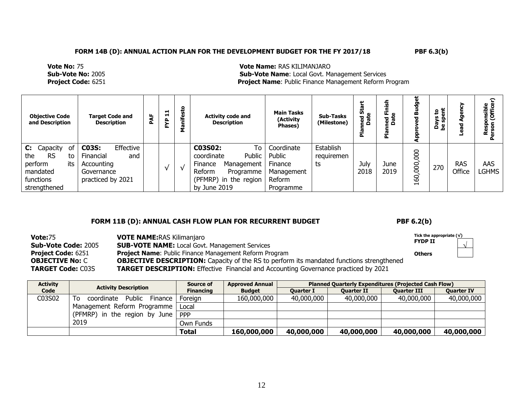**Vote No:** 75 **Vote Name:** RAS KILIMANJARO **Sub-Vote No:** 2005 **Sub-Vote Name**: Local Govt. Management Services **Project Name: Public Finance Management Reform Program** 

| <b>Objective Code</b><br>and Description                                                                  | <b>Target Code and</b><br><b>Description</b>                                                          | PAF | ᆸ<br>H.<br>ድ  | ۰  | <b>Activity code and</b><br><b>Description</b>                                                                                 | <b>Main Tasks</b><br>(Activity<br>Phases)                            | Sub-Tasks<br>(Milestone)      | န္မ<br>ned S<br>Date<br>훕 | ਚ<br>≃ פֿ    | œ<br>ъ      | ន ដូ<br>ske<br>ske<br>ڇ ته | 6<br>ъ               | nsible<br>Office    |
|-----------------------------------------------------------------------------------------------------------|-------------------------------------------------------------------------------------------------------|-----|---------------|----|--------------------------------------------------------------------------------------------------------------------------------|----------------------------------------------------------------------|-------------------------------|---------------------------|--------------|-------------|----------------------------|----------------------|---------------------|
| Capacity<br>C:<br>οt<br><b>RS</b><br>the<br>to<br>its<br>perform<br>mandated<br>functions<br>strengthened | Effective<br><b>C03S:</b><br><b>Financial</b><br>and<br>Accounting<br>Governance<br>practiced by 2021 |     | $\mathcal{N}$ | ΔZ | To<br>C03S02:<br>Public<br>coordinate<br>Management<br>Finance<br>Reform<br>Programme<br>(PFMRP) in the region<br>by June 2019 | Coordinate<br>Public<br>Finance<br>Management<br>Reform<br>Programme | Establish<br>requiremen<br>ts | July<br>2018              | June<br>2019 | 8<br>8<br>8 | 270                        | <b>RAS</b><br>Office | AAS<br><b>LGHMS</b> |

## FORM 11B (D): ANNUAL CASH FLOW PLAN FOR RECURRENT BUDGET PBF 6.2(b)

| <b>Vote: 75</b>           | <b>VOTE NAME: RAS Kilimanjaro</b>                                                               | Tick the appropriate $(\sqrt)$ |  |
|---------------------------|-------------------------------------------------------------------------------------------------|--------------------------------|--|
| Sub-Vote Code: 2005       | <b>SUB-VOTE NAME:</b> Local Govt. Management Services                                           | <b>FYDP II</b>                 |  |
| <b>Project Code: 6251</b> | <b>Project Name:</b> Public Finance Management Reform Program                                   | <b>Others</b>                  |  |
| <b>OBJECTIVE No: C</b>    | <b>OBJECTIVE DESCRIPTION:</b> Capacity of the RS to perform its mandated functions strengthened |                                |  |
| <b>TARGET Code: C03S</b>  | <b>TARGET DESCRIPTION:</b> Effective Financial and Accounting Governance practiced by 2021      |                                |  |

| <b>Activity</b> | <b>Activity Description</b>            | Source of        | <b>Approved Annual</b> |                  | <b>Planned Ouarterly Expenditures (Projected Cash Flow)</b> |                    |                   |
|-----------------|----------------------------------------|------------------|------------------------|------------------|-------------------------------------------------------------|--------------------|-------------------|
| Code            |                                        | <b>Financing</b> | <b>Budget</b>          | <b>Ouarter I</b> | <b>Ouarter II</b>                                           | <b>Ouarter III</b> | <b>Ouarter IV</b> |
| C03S02          | Public<br>To.<br>Finance<br>coordinate | Foreian          | 160,000,000            | 40,000,000       | 40,000,000                                                  | 40,000,000         | 40,000,000        |
|                 | Management Reform Programme            | Local            |                        |                  |                                                             |                    |                   |
|                 | (PFMRP) in the region by June          | <b>PPP</b>       |                        |                  |                                                             |                    |                   |
|                 | 2019                                   | Own Funds        |                        |                  |                                                             |                    |                   |
|                 |                                        | <b>Total</b>     | 160,000,000            | 40,000,000       | 40,000,000                                                  | 40,000,000         | 40,000,000        |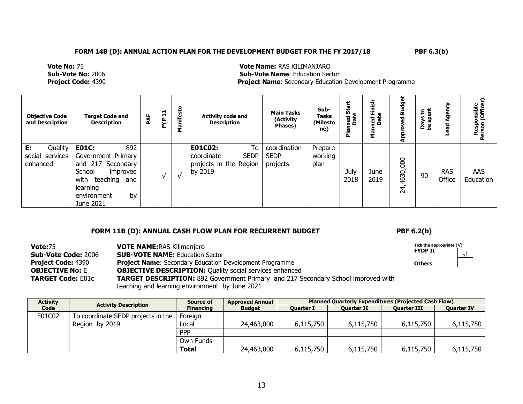**Vote No:** 75 **Vote Name:** RAS KILIMANJARO **Sub-Vote Name: Education Sector Project Code:** 4390 **Project Name:** Secondary Education Development Programme

| <b>Objective Code</b><br>and Description       | <b>Target Code and</b><br><b>Description</b>                                                                                                                  | PAF | $\mathbf{H}$<br>È۴ | <b>Sto</b><br>Σ | <b>Activity code and</b><br><b>Description</b>                                  | <b>Main Tasks</b><br>(Activity<br>Phases) | Sub-<br><b>Tasks</b><br>(Milesto<br>ne) | ູ້ທີ່<br>ned S<br>Date<br>ᅀ | 들<br>ned F<br>Date<br>운 | udget<br>⋒<br>ᄝ<br>Appi    | កី ខ |                      | ≎<br>onsible<br>(Office<br>Rersor<br>Persor |
|------------------------------------------------|---------------------------------------------------------------------------------------------------------------------------------------------------------------|-----|--------------------|-----------------|---------------------------------------------------------------------------------|-------------------------------------------|-----------------------------------------|-----------------------------|-------------------------|----------------------------|------|----------------------|---------------------------------------------|
| Quality<br>Е:<br>social services  <br>enhanced | 892<br><b>E01C:</b><br>Government Primary<br>and 217 Secondary<br>School<br>improved<br>with<br>teaching<br>and<br>learning<br>by<br>environment<br>June 2021 |     | $\sqrt{}$          | $\sqrt{ }$      | To<br>E01C02:<br><b>SEDP</b><br>coordinate<br>projects in the Region<br>by 2019 | coordination<br><b>SEDP</b><br>projects   | Prepare<br>working<br>plan              | July<br>2018                | June<br>2019            | 4630,000<br>$\overline{A}$ | 90   | <b>RAS</b><br>Office | AAS<br>Education                            |

## **FORM 11B (D): ANNUAL CASH FLOW PLAN FOR RECURRENT BUDGET PBF 6.2(b)**

√

| <b>Vote: 75</b><br><b>Sub-Vote Code: 2006</b> | <b>VOTE NAME: RAS Kilimanjaro</b><br><b>SUB-VOTE NAME:</b> Education Sector              | Tick the appropriate $(\sqrt)$<br><b>FYDP II</b> |  |
|-----------------------------------------------|------------------------------------------------------------------------------------------|--------------------------------------------------|--|
| <b>Project Code: 4390</b>                     | <b>Project Name:</b> Secondary Education Development Programme                           | <b>Others</b>                                    |  |
| <b>OBJECTIVE No:</b> E                        | <b>OBJECTIVE DESCRIPTION: Quality social services enhanced</b>                           |                                                  |  |
| <b>TARGET Code: E01c</b>                      | <b>TARGET DESCRIPTION:</b> 892 Government Primary and 217 Secondary School improved with |                                                  |  |
|                                               | teaching and learning environment by June 2021                                           |                                                  |  |

| <b>Activity</b> | <b>Activity Description</b>        | Source of        | <b>Approved Annual</b> |                  |                   | <b>Planned Quarterly Expenditures (Projected Cash Flow)</b> |                   |  |  |  |  |
|-----------------|------------------------------------|------------------|------------------------|------------------|-------------------|-------------------------------------------------------------|-------------------|--|--|--|--|
| Code            |                                    | <b>Financing</b> | <b>Budget</b>          | <b>Ouarter I</b> | <b>Ouarter II</b> | <b>Ouarter III</b>                                          | <b>Quarter IV</b> |  |  |  |  |
| E01C02          | To coordinate SEDP projects in the | Foreign          |                        |                  |                   |                                                             |                   |  |  |  |  |
|                 | Region by 2019                     | Local            | 24,463,000             | 6,115,750        | 6,115,750         | 6,115,750                                                   | 6,115,750         |  |  |  |  |
|                 |                                    | <b>PPP</b>       |                        |                  |                   |                                                             |                   |  |  |  |  |
|                 |                                    | Own Funds        |                        |                  |                   |                                                             |                   |  |  |  |  |
|                 |                                    | <b>Total</b>     | 24,463,000             | 6,115,750        | 6,115,750         | 6,115,750                                                   | 6,115,750         |  |  |  |  |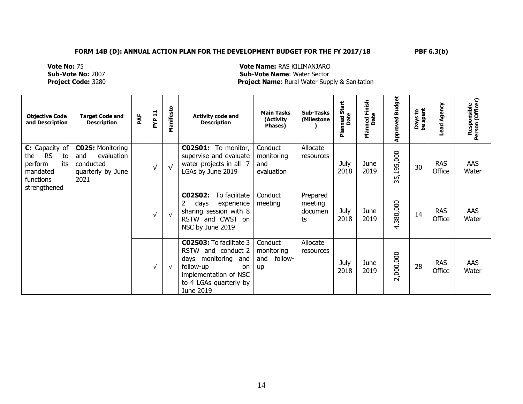**Vote No:** 75 **Vote Name:** RAS KILIMANJARO **Sub-Vote No:** 2007 **Sub-Vote Name**: Water Sector **Project Name:** Rural Water Supply & Sanitation

| <b>Objective Code</b><br>and Description                                                            | <b>Target Code and</b><br><b>Description</b>                                           | PAF | FYP 11     | Manifesto  | <b>Activity code and</b><br><b>Description</b>                                                                                                                              | <b>Main Tasks</b><br>(Activity<br>Phases)            | <b>Sub-Tasks</b><br>(Milestone       | <b>Planned Start</b><br>Date | Finish<br>Date<br>ned<br>E<br>Plan | <b>Approved Budget</b> | ays to<br>spent<br>Days<br>be spe | Agency<br>Lead       | Responsible<br>Person (Officer) |
|-----------------------------------------------------------------------------------------------------|----------------------------------------------------------------------------------------|-----|------------|------------|-----------------------------------------------------------------------------------------------------------------------------------------------------------------------------|------------------------------------------------------|--------------------------------------|------------------------------|------------------------------------|------------------------|-----------------------------------|----------------------|---------------------------------|
| C: Capacity of<br><b>RS</b><br>the<br>to<br>its<br>perform<br>mandated<br>functions<br>strengthened | <b>C02S: Monitoring</b><br>evaluation<br>and<br>conducted<br>quarterly by June<br>2021 |     | $\sqrt{ }$ | √          | CO2SO1: To monitor,<br>supervise and evaluate<br>water projects in all 7<br>LGAs by June 2019                                                                               | Conduct<br>monitoring<br>and<br>evaluation           | Allocate<br>resources                | July<br>2018                 | June<br>2019                       | 35,195,000             | 30                                | <b>RAS</b><br>Office | AAS<br>Water                    |
|                                                                                                     |                                                                                        |     | $\sqrt{ }$ | $\sqrt{ }$ | C02S02:<br>To facilitate<br>experience<br>days<br>sharing session with 8<br>RSTW and CWST<br>- on<br>NSC by June 2019                                                       | Conduct<br>meeting                                   | Prepared<br>meeting<br>documen<br>ts | July<br>2018                 | June<br>2019                       | 4,380,000              | 14                                | <b>RAS</b><br>Office | AAS<br>Water                    |
|                                                                                                     |                                                                                        |     | $\sqrt{ }$ | √          | <b>C02S03:</b> To facilitate 3<br>and conduct 2<br><b>RSTW</b><br>days monitoring<br>and<br>follow-up<br>on<br>implementation of NSC<br>to 4 LGAs quarterly by<br>June 2019 | Conduct<br>monitoring<br>follow-<br>and<br><b>up</b> | Allocate<br>resources                | July<br>2018                 | June<br>2019                       | 2,000,000              | 28                                | <b>RAS</b><br>Office | <b>AAS</b><br>Water             |